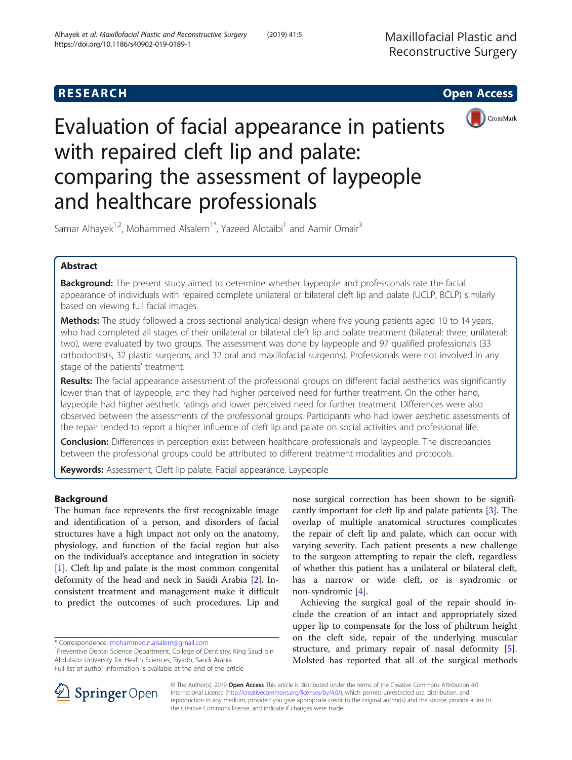



# Evaluation of facial appearance in patients with repaired cleft lip and palate: comparing the assessment of laypeople and healthcare professionals

Samar Alhayek<sup>1,2</sup>, Mohammed Alsalem<sup>1\*</sup>, Yazeed Alotaibi<sup>1</sup> and Aamir Omair<sup>3</sup>

## Abstract

Background: The present study aimed to determine whether laypeople and professionals rate the facial appearance of individuals with repaired complete unilateral or bilateral cleft lip and palate (UCLP, BCLP) similarly based on viewing full facial images.

Methods: The study followed a cross-sectional analytical design where five young patients aged 10 to 14 years, who had completed all stages of their unilateral or bilateral cleft lip and palate treatment (bilateral: three, unilateral: two), were evaluated by two groups. The assessment was done by laypeople and 97 qualified professionals (33 orthodontists, 32 plastic surgeons, and 32 oral and maxillofacial surgeons). Professionals were not involved in any stage of the patients' treatment.

Results: The facial appearance assessment of the professional groups on different facial aesthetics was significantly lower than that of laypeople, and they had higher perceived need for further treatment. On the other hand, laypeople had higher aesthetic ratings and lower perceived need for further treatment. Differences were also observed between the assessments of the professional groups. Participants who had lower aesthetic assessments of the repair tended to report a higher influence of cleft lip and palate on social activities and professional life.

**Conclusion:** Differences in perception exist between healthcare professionals and laypeople. The discrepancies between the professional groups could be attributed to different treatment modalities and protocols.

Keywords: Assessment, Cleft lip palate, Facial appearance, Laypeople

## Background

The human face represents the first recognizable image and identification of a person, and disorders of facial structures have a high impact not only on the anatomy, physiology, and function of the facial region but also on the individual's acceptance and integration in society [[1\]](#page-4-0). Cleft lip and palate is the most common congenital deformity of the head and neck in Saudi Arabia [\[2](#page-4-0)]. Inconsistent treatment and management make it difficult to predict the outcomes of such procedures. Lip and nose surgical correction has been shown to be significantly important for cleft lip and palate patients [\[3\]](#page-4-0). The overlap of multiple anatomical structures complicates the repair of cleft lip and palate, which can occur with varying severity. Each patient presents a new challenge to the surgeon attempting to repair the cleft, regardless of whether this patient has a unilateral or bilateral cleft, has a narrow or wide cleft, or is syndromic or non-syndromic [\[4](#page-4-0)].

Achieving the surgical goal of the repair should include the creation of an intact and appropriately sized upper lip to compensate for the loss of philtrum height on the cleft side, repair of the underlying muscular structure, and primary repair of nasal deformity [\[5](#page-4-0)]. Molsted has reported that all of the surgical methods



© The Author(s). 2019 Open Access This article is distributed under the terms of the Creative Commons Attribution 4.0 International License ([http://creativecommons.org/licenses/by/4.0/\)](http://creativecommons.org/licenses/by/4.0/), which permits unrestricted use, distribution, and reproduction in any medium, provided you give appropriate credit to the original author(s) and the source, provide a link to the Creative Commons license, and indicate if changes were made.

<sup>\*</sup> Correspondence: [mohammed.n.alsalem@gmail.com](mailto:mohammed.n.alsalem@gmail.com) <sup>1</sup>

<sup>&</sup>lt;sup>1</sup> Preventive Dental Science Department, College of Dentistry, King Saud bin Abdulaziz University for Health Sciences, Riyadh, Saudi Arabia Full list of author information is available at the end of the article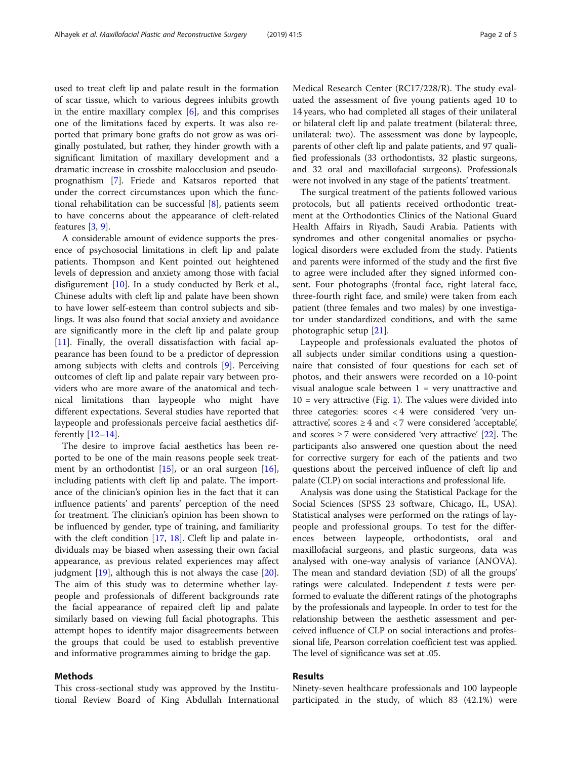used to treat cleft lip and palate result in the formation of scar tissue, which to various degrees inhibits growth in the entire maxillary complex  $[6]$ , and this comprises one of the limitations faced by experts. It was also reported that primary bone grafts do not grow as was originally postulated, but rather, they hinder growth with a significant limitation of maxillary development and a dramatic increase in crossbite malocclusion and pseudoprognathism [\[7](#page-4-0)]. Friede and Katsaros reported that under the correct circumstances upon which the functional rehabilitation can be successful [\[8\]](#page-4-0), patients seem to have concerns about the appearance of cleft-related features [[3,](#page-4-0) [9\]](#page-4-0).

A considerable amount of evidence supports the presence of psychosocial limitations in cleft lip and palate patients. Thompson and Kent pointed out heightened levels of depression and anxiety among those with facial disfigurement [[10\]](#page-4-0). In a study conducted by Berk et al., Chinese adults with cleft lip and palate have been shown to have lower self-esteem than control subjects and siblings. It was also found that social anxiety and avoidance are significantly more in the cleft lip and palate group [[11\]](#page-4-0). Finally, the overall dissatisfaction with facial appearance has been found to be a predictor of depression among subjects with clefts and controls [[9\]](#page-4-0). Perceiving outcomes of cleft lip and palate repair vary between providers who are more aware of the anatomical and technical limitations than laypeople who might have different expectations. Several studies have reported that laypeople and professionals perceive facial aesthetics differently [[12](#page-4-0)–[14](#page-4-0)].

The desire to improve facial aesthetics has been reported to be one of the main reasons people seek treatment by an orthodontist [[15](#page-4-0)], or an oral surgeon [\[16](#page-4-0)], including patients with cleft lip and palate. The importance of the clinician's opinion lies in the fact that it can influence patients' and parents' perception of the need for treatment. The clinician's opinion has been shown to be influenced by gender, type of training, and familiarity with the cleft condition [\[17](#page-4-0), [18\]](#page-4-0). Cleft lip and palate individuals may be biased when assessing their own facial appearance, as previous related experiences may affect judgment [\[19](#page-4-0)], although this is not always the case [\[20](#page-4-0)]. The aim of this study was to determine whether laypeople and professionals of different backgrounds rate the facial appearance of repaired cleft lip and palate similarly based on viewing full facial photographs. This attempt hopes to identify major disagreements between the groups that could be used to establish preventive and informative programmes aiming to bridge the gap.

## Methods

This cross-sectional study was approved by the Institutional Review Board of King Abdullah International Medical Research Center (RC17/228/R). The study evaluated the assessment of five young patients aged 10 to 14 years, who had completed all stages of their unilateral or bilateral cleft lip and palate treatment (bilateral: three, unilateral: two). The assessment was done by laypeople, parents of other cleft lip and palate patients, and 97 qualified professionals (33 orthodontists, 32 plastic surgeons, and 32 oral and maxillofacial surgeons). Professionals were not involved in any stage of the patients' treatment.

The surgical treatment of the patients followed various protocols, but all patients received orthodontic treatment at the Orthodontics Clinics of the National Guard Health Affairs in Riyadh, Saudi Arabia. Patients with syndromes and other congenital anomalies or psychological disorders were excluded from the study. Patients and parents were informed of the study and the first five to agree were included after they signed informed consent. Four photographs (frontal face, right lateral face, three-fourth right face, and smile) were taken from each patient (three females and two males) by one investigator under standardized conditions, and with the same photographic setup [[21\]](#page-4-0).

Laypeople and professionals evaluated the photos of all subjects under similar conditions using a questionnaire that consisted of four questions for each set of photos, and their answers were recorded on a 10-point visual analogue scale between  $1$  = very unattractive and  $10$  = very attractive (Fig. [1\)](#page-2-0). The values were divided into three categories: scores < 4 were considered 'very unattractive', scores  $\geq 4$  and  $\lt$  7 were considered 'acceptable', and scores  $\geq$  7 were considered 'very attractive' [\[22\]](#page-4-0). The participants also answered one question about the need for corrective surgery for each of the patients and two questions about the perceived influence of cleft lip and palate (CLP) on social interactions and professional life.

Analysis was done using the Statistical Package for the Social Sciences (SPSS 23 software, Chicago, IL, USA). Statistical analyses were performed on the ratings of laypeople and professional groups. To test for the differences between laypeople, orthodontists, oral and maxillofacial surgeons, and plastic surgeons, data was analysed with one-way analysis of variance (ANOVA). The mean and standard deviation (SD) of all the groups' ratings were calculated. Independent  $t$  tests were performed to evaluate the different ratings of the photographs by the professionals and laypeople. In order to test for the relationship between the aesthetic assessment and perceived influence of CLP on social interactions and professional life, Pearson correlation coefficient test was applied. The level of significance was set at .05.

## Results

Ninety-seven healthcare professionals and 100 laypeople participated in the study, of which 83 (42.1%) were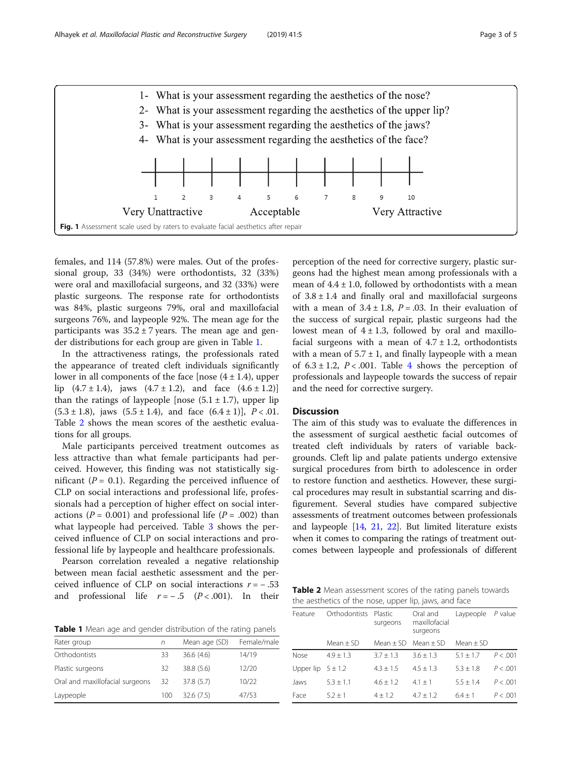<span id="page-2-0"></span>

females, and 114 (57.8%) were males. Out of the professional group, 33 (34%) were orthodontists, 32 (33%) were oral and maxillofacial surgeons, and 32 (33%) were plastic surgeons. The response rate for orthodontists was 84%, plastic surgeons 79%, oral and maxillofacial surgeons 76%, and laypeople 92%. The mean age for the participants was  $35.2 \pm 7$  years. The mean age and gender distributions for each group are given in Table 1.

In the attractiveness ratings, the professionals rated the appearance of treated cleft individuals significantly lower in all components of the face  $[$ nose (4  $\pm$  1.4), upperlip  $(4.7 \pm 1.4)$ , jaws  $(4.7 \pm 1.2)$ , and face  $(4.6 \pm 1.2)$ ] than the ratings of laypeople [nose  $(5.1 \pm 1.7)$ , upper lip  $(5.3 \pm 1.8)$ , jaws  $(5.5 \pm 1.4)$ , and face  $(6.4 \pm 1)$ ,  $P < .01$ . Table 2 shows the mean scores of the aesthetic evaluations for all groups.

Male participants perceived treatment outcomes as less attractive than what female participants had perceived. However, this finding was not statistically significant ( $P = 0.1$ ). Regarding the perceived influence of CLP on social interactions and professional life, professionals had a perception of higher effect on social interactions ( $P = 0.001$ ) and professional life ( $P = .002$ ) than what laypeople had perceived. Table [3](#page-3-0) shows the perceived influence of CLP on social interactions and professional life by laypeople and healthcare professionals.

Pearson correlation revealed a negative relationship between mean facial aesthetic assessment and the perceived influence of CLP on social interactions  $r = -0.53$ and professional life  $r = -.5$  ( $P < .001$ ). In their perception of the need for corrective surgery, plastic surgeons had the highest mean among professionals with a mean of  $4.4 \pm 1.0$ , followed by orthodontists with a mean of  $3.8 \pm 1.4$  and finally oral and maxillofacial surgeons with a mean of  $3.4 \pm 1.8$ ,  $P = .03$ . In their evaluation of the success of surgical repair, plastic surgeons had the lowest mean of  $4 \pm 1.3$ , followed by oral and maxillofacial surgeons with a mean of  $4.7 \pm 1.2$ , orthodontists with a mean of  $5.7 \pm 1$ , and finally laypeople with a mean of  $6.3 \pm 1.2$ ,  $P < .001$ . Table [4](#page-3-0) shows the perception of professionals and laypeople towards the success of repair and the need for corrective surgery.

## **Discussion**

The aim of this study was to evaluate the differences in the assessment of surgical aesthetic facial outcomes of treated cleft individuals by raters of variable backgrounds. Cleft lip and palate patients undergo extensive surgical procedures from birth to adolescence in order to restore function and aesthetics. However, these surgical procedures may result in substantial scarring and disfigurement. Several studies have compared subjective assessments of treatment outcomes between professionals and laypeople [\[14,](#page-4-0) [21](#page-4-0), [22\]](#page-4-0). But limited literature exists when it comes to comparing the ratings of treatment outcomes between laypeople and professionals of different

Table 2 Mean assessment scores of the rating panels towards the aesthetics of the nose, upper lip, jaws, and face

| Feature               | Orthodontists Plastic | surgeons    | Oral and<br>maxillofacial<br>surgeons | Laypeople     | P value  |
|-----------------------|-----------------------|-------------|---------------------------------------|---------------|----------|
|                       | Mean $\pm$ SD         |             | Mean $\pm$ SD Mean $\pm$ SD           | Mean $\pm$ SD |          |
| Nose                  | $4.9 + 1.3$           | $3.7 + 1.3$ | $3.6 + 1.3$                           | $5.1 + 1.7$   | P < .001 |
| Upper lip $5 \pm 1.2$ |                       | $4.3 + 1.5$ | $4.5 + 1.3$                           | $5.3 + 1.8$   | P < .001 |
| Jaws                  | $5.3 + 1.1$           | $4.6 + 1.2$ | $4.1 + 1$                             | $5.5 + 1.4$   | P < .001 |
| Face                  | $5.2 + 1$             | $4 + 1.2$   | $4.7 + 1.2$                           | $6.4 + 1$     | P < .001 |

Table 1 Mean age and gender distribution of the rating panels

| Rater group                     | n   | Mean age (SD) | Female/male |
|---------------------------------|-----|---------------|-------------|
| Orthodontists                   | 33  | 36.6(4.6)     | 14/19       |
| Plastic surgeons                | 32  | 38.8(5.6)     | 12/20       |
| Oral and maxillofacial surgeons | 32  | 37.8 (5.7)    | 10/22       |
| Laypeople                       | 100 | 32.6(7.5)     | 47/53       |
|                                 |     |               |             |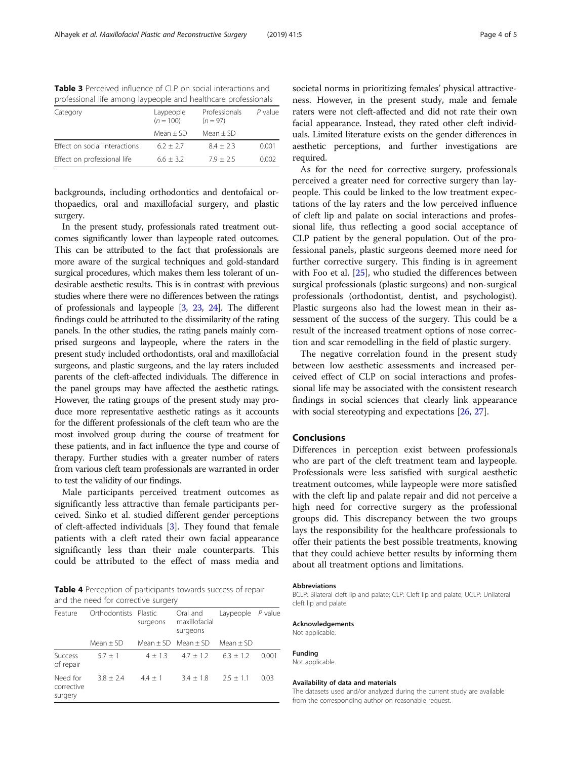<span id="page-3-0"></span>

| <b>Table 3</b> Perceived influence of CLP on social interactions and |  |
|----------------------------------------------------------------------|--|
| professional life among laypeople and healthcare professionals       |  |

| Category                      | Laypeople<br>$(n = 100)$ | Professionals<br>$(n = 97)$ | $P$ value |
|-------------------------------|--------------------------|-----------------------------|-----------|
|                               | Mean $\pm$ SD            | Mean $\pm$ SD               |           |
| Effect on social interactions | $6.2 + 2.7$              | $8.4 + 2.3$                 | 0.001     |
| Effect on professional life   | $6.6 + 3.2$              | $7.9 + 2.5$                 | 0.002     |

backgrounds, including orthodontics and dentofaical orthopaedics, oral and maxillofacial surgery, and plastic surgery.

In the present study, professionals rated treatment outcomes significantly lower than laypeople rated outcomes. This can be attributed to the fact that professionals are more aware of the surgical techniques and gold-standard surgical procedures, which makes them less tolerant of undesirable aesthetic results. This is in contrast with previous studies where there were no differences between the ratings of professionals and laypeople [\[3,](#page-4-0) [23](#page-4-0), [24\]](#page-4-0). The different findings could be attributed to the dissimilarity of the rating panels. In the other studies, the rating panels mainly comprised surgeons and laypeople, where the raters in the present study included orthodontists, oral and maxillofacial surgeons, and plastic surgeons, and the lay raters included parents of the cleft-affected individuals. The difference in the panel groups may have affected the aesthetic ratings. However, the rating groups of the present study may produce more representative aesthetic ratings as it accounts for the different professionals of the cleft team who are the most involved group during the course of treatment for these patients, and in fact influence the type and course of therapy. Further studies with a greater number of raters from various cleft team professionals are warranted in order to test the validity of our findings.

Male participants perceived treatment outcomes as significantly less attractive than female participants perceived. Sinko et al. studied different gender perceptions of cleft-affected individuals [[3\]](#page-4-0). They found that female patients with a cleft rated their own facial appearance significantly less than their male counterparts. This could be attributed to the effect of mass media and

Table 4 Perception of participants towards success of repair and the need for corrective surgery

| Feature                           | Orthodontists Plastic | surgeons  | Oral and<br>maxillofacial<br>surgeons | Laypeople $P$ value |       |
|-----------------------------------|-----------------------|-----------|---------------------------------------|---------------------|-------|
|                                   | Mean $+$ SD           |           | Mean $+$ SD Mean $+$ SD               | Mean $+$ SD         |       |
| <b>Success</b><br>of repair       | $5.7 + 1$             | $4 + 1.3$ | $4.7 + 1.2$                           | $6.3 + 1.2$         | 0.001 |
| Need for<br>corrective<br>surgery | $3.8 + 2.4$           | $4.4 + 1$ | $3.4 + 1.8$                           | $2.5 + 1.1$         | 0.03  |

societal norms in prioritizing females' physical attractiveness. However, in the present study, male and female raters were not cleft-affected and did not rate their own facial appearance. Instead, they rated other cleft individuals. Limited literature exists on the gender differences in aesthetic perceptions, and further investigations are required.

As for the need for corrective surgery, professionals perceived a greater need for corrective surgery than laypeople. This could be linked to the low treatment expectations of the lay raters and the low perceived influence of cleft lip and palate on social interactions and professional life, thus reflecting a good social acceptance of CLP patient by the general population. Out of the professional panels, plastic surgeons deemed more need for further corrective surgery. This finding is in agreement with Foo et al. [\[25](#page-4-0)], who studied the differences between surgical professionals (plastic surgeons) and non-surgical professionals (orthodontist, dentist, and psychologist). Plastic surgeons also had the lowest mean in their assessment of the success of the surgery. This could be a result of the increased treatment options of nose correction and scar remodelling in the field of plastic surgery.

The negative correlation found in the present study between low aesthetic assessments and increased perceived effect of CLP on social interactions and professional life may be associated with the consistent research findings in social sciences that clearly link appearance with social stereotyping and expectations [\[26](#page-4-0), [27\]](#page-4-0).

## Conclusions

Differences in perception exist between professionals who are part of the cleft treatment team and laypeople. Professionals were less satisfied with surgical aesthetic treatment outcomes, while laypeople were more satisfied with the cleft lip and palate repair and did not perceive a high need for corrective surgery as the professional groups did. This discrepancy between the two groups lays the responsibility for the healthcare professionals to offer their patients the best possible treatments, knowing that they could achieve better results by informing them about all treatment options and limitations.

#### Abbreviations

BCLP: Bilateral cleft lip and palate; CLP: Cleft lip and palate; UCLP: Unilateral cleft lip and palate

### Acknowledgements

Not applicable.

### Funding Not applicable.

#### Availability of data and materials

The datasets used and/or analyzed during the current study are available from the corresponding author on reasonable request.